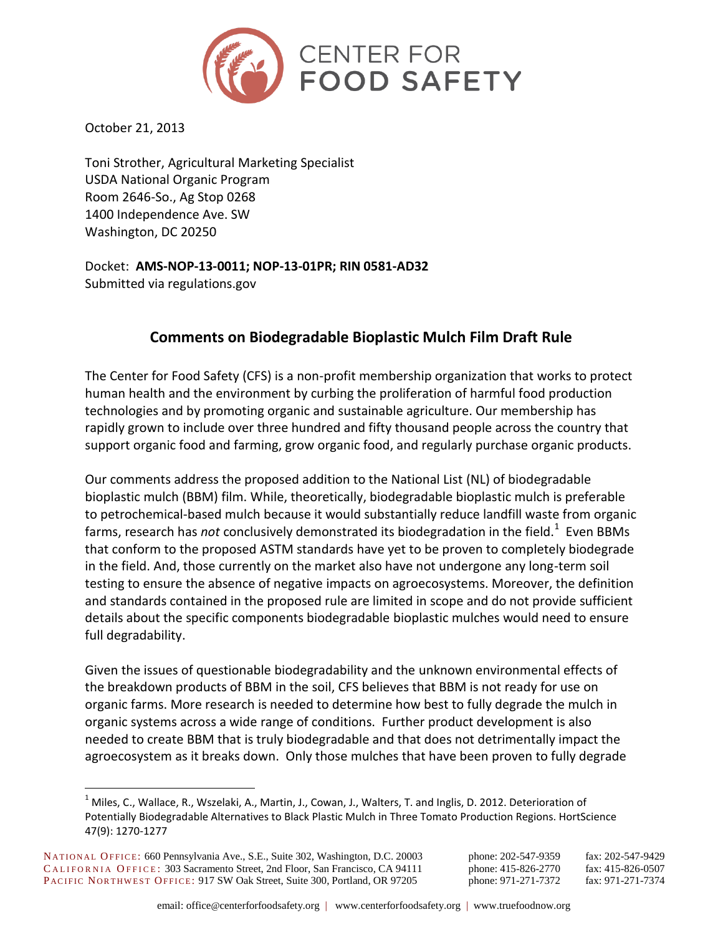

October 21, 2013

Toni Strother, Agricultural Marketing Specialist USDA National Organic Program Room 2646-So., Ag Stop 0268 1400 Independence Ave. SW Washington, DC 20250

Docket: **AMS-NOP-13-0011; NOP-13-01PR; RIN 0581-AD32** Submitted via regulations.gov

# **Comments on Biodegradable Bioplastic Mulch Film Draft Rule**

The Center for Food Safety (CFS) is a non-profit membership organization that works to protect human health and the environment by curbing the proliferation of harmful food production technologies and by promoting organic and sustainable agriculture. Our membership has rapidly grown to include over three hundred and fifty thousand people across the country that support organic food and farming, grow organic food, and regularly purchase organic products.

Our comments address the proposed addition to the National List (NL) of biodegradable bioplastic mulch (BBM) film. While, theoretically, biodegradable bioplastic mulch is preferable to petrochemical-based mulch because it would substantially reduce landfill waste from organic farms, research has *not* conclusively demonstrated its biodegradation in the field.<sup>1</sup> Even BBMs that conform to the proposed ASTM standards have yet to be proven to completely biodegrade in the field. And, those currently on the market also have not undergone any long-term soil testing to ensure the absence of negative impacts on agroecosystems. Moreover, the definition and standards contained in the proposed rule are limited in scope and do not provide sufficient details about the specific components biodegradable bioplastic mulches would need to ensure full degradability.

Given the issues of questionable biodegradability and the unknown environmental effects of the breakdown products of BBM in the soil, CFS believes that BBM is not ready for use on organic farms. More research is needed to determine how best to fully degrade the mulch in organic systems across a wide range of conditions. Further product development is also needed to create BBM that is truly biodegradable and that does not detrimentally impact the agroecosystem as it breaks down. Only those mulches that have been proven to fully degrade

<sup>&</sup>lt;sup>1</sup> Miles, C., Wallace, R., Wszelaki, A., Martin, J., Cowan, J., Walters, T. and Inglis, D. 2012. Deterioration of Potentially Biodegradable Alternatives to Black Plastic Mulch in Three Tomato Production Regions. HortScience 47(9): 1270-1277

NATIONAL OFFICE: 660 Pennsylvania Ave., S.E., Suite 302, Washington, D.C. 20003 phone: 202-547-9359 fax: 202-547-9429 CALIFORNIA OFFICE: 303 Sacramento Street, 2nd Floor, San Francisco, CA 94111 phone: 415-826-2770 fax: 415-826-0507 PACIFIC NORTHWEST OFFICE: 917 SW Oak Street, Suite 300, Portland, OR 97205 phone: 971-271-7372 fax: 971-271-7374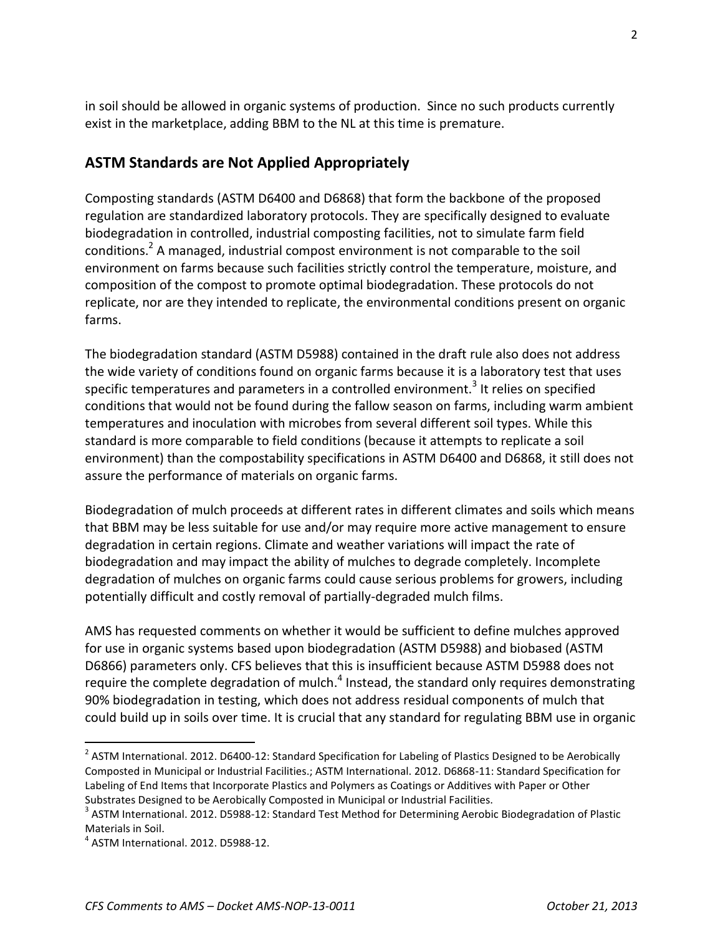in soil should be allowed in organic systems of production. Since no such products currently exist in the marketplace, adding BBM to the NL at this time is premature.

## **ASTM Standards are Not Applied Appropriately**

Composting standards (ASTM D6400 and D6868) that form the backbone of the proposed regulation are standardized laboratory protocols. They are specifically designed to evaluate biodegradation in controlled, industrial composting facilities, not to simulate farm field conditions.<sup>2</sup> A managed, industrial compost environment is not comparable to the soil environment on farms because such facilities strictly control the temperature, moisture, and composition of the compost to promote optimal biodegradation. These protocols do not replicate, nor are they intended to replicate, the environmental conditions present on organic farms.

The biodegradation standard (ASTM D5988) contained in the draft rule also does not address the wide variety of conditions found on organic farms because it is a laboratory test that uses specific temperatures and parameters in a controlled environment.<sup>3</sup> It relies on specified conditions that would not be found during the fallow season on farms, including warm ambient temperatures and inoculation with microbes from several different soil types. While this standard is more comparable to field conditions (because it attempts to replicate a soil environment) than the compostability specifications in ASTM D6400 and D6868, it still does not assure the performance of materials on organic farms.

Biodegradation of mulch proceeds at different rates in different climates and soils which means that BBM may be less suitable for use and/or may require more active management to ensure degradation in certain regions. Climate and weather variations will impact the rate of biodegradation and may impact the ability of mulches to degrade completely. Incomplete degradation of mulches on organic farms could cause serious problems for growers, including potentially difficult and costly removal of partially-degraded mulch films.

AMS has requested comments on whether it would be sufficient to define mulches approved for use in organic systems based upon biodegradation (ASTM D5988) and biobased (ASTM D6866) parameters only. CFS believes that this is insufficient because ASTM D5988 does not require the complete degradation of mulch.<sup>4</sup> Instead, the standard only requires demonstrating 90% biodegradation in testing, which does not address residual components of mulch that could build up in soils over time. It is crucial that any standard for regulating BBM use in organic

 $^2$  ASTM International. 2012. D6400-12: Standard Specification for Labeling of Plastics Designed to be Aerobically Composted in Municipal or Industrial Facilities.; ASTM International. 2012. D6868-11: Standard Specification for Labeling of End Items that Incorporate Plastics and Polymers as Coatings or Additives with Paper or Other Substrates Designed to be Aerobically Composted in Municipal or Industrial Facilities.

<sup>&</sup>lt;sup>3</sup> ASTM International. 2012. D5988-12: Standard Test Method for Determining Aerobic Biodegradation of Plastic Materials in Soil.

<sup>4</sup> ASTM International. 2012. D5988-12.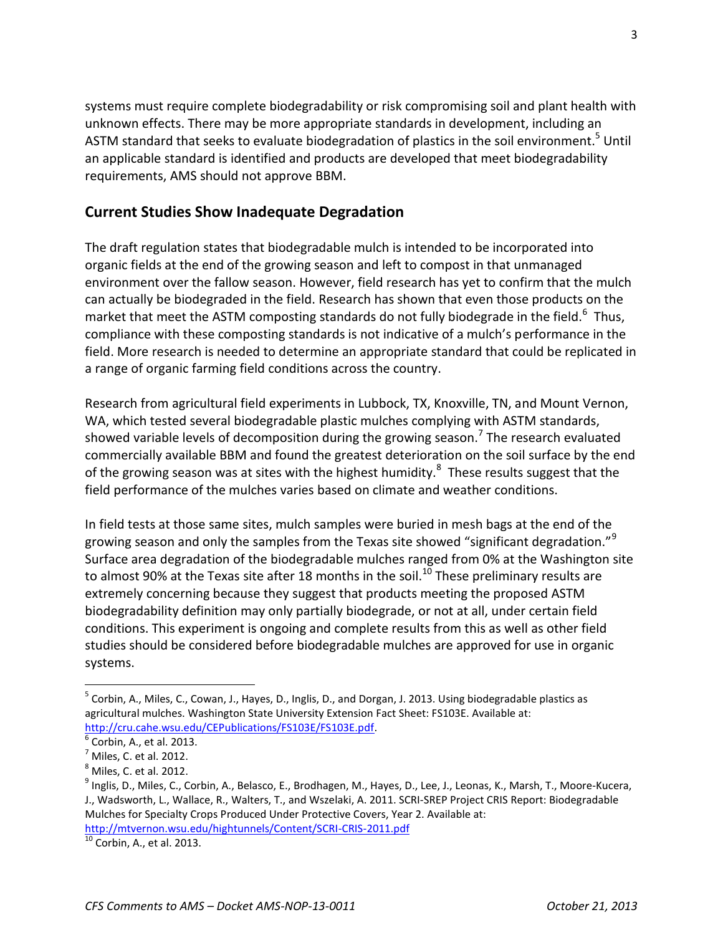systems must require complete biodegradability or risk compromising soil and plant health with unknown effects. There may be more appropriate standards in development, including an ASTM standard that seeks to evaluate biodegradation of plastics in the soil environment.<sup>5</sup> Until an applicable standard is identified and products are developed that meet biodegradability requirements, AMS should not approve BBM.

#### **Current Studies Show Inadequate Degradation**

The draft regulation states that biodegradable mulch is intended to be incorporated into organic fields at the end of the growing season and left to compost in that unmanaged environment over the fallow season. However, field research has yet to confirm that the mulch can actually be biodegraded in the field. Research has shown that even those products on the market that meet the ASTM composting standards do not fully biodegrade in the field.<sup>6</sup> Thus, compliance with these composting standards is not indicative of a mulch's performance in the field. More research is needed to determine an appropriate standard that could be replicated in a range of organic farming field conditions across the country.

Research from agricultural field experiments in Lubbock, TX, Knoxville, TN, and Mount Vernon, WA, which tested several biodegradable plastic mulches complying with ASTM standards, showed variable levels of decomposition during the growing season.<sup>7</sup> The research evaluated commercially available BBM and found the greatest deterioration on the soil surface by the end of the growing season was at sites with the highest humidity. $^8$  These results suggest that the field performance of the mulches varies based on climate and weather conditions.

In field tests at those same sites, mulch samples were buried in mesh bags at the end of the growing season and only the samples from the Texas site showed "significant degradation."<sup>9</sup> Surface area degradation of the biodegradable mulches ranged from 0% at the Washington site to almost 90% at the Texas site after 18 months in the soil.<sup>10</sup> These preliminary results are extremely concerning because they suggest that products meeting the proposed ASTM biodegradability definition may only partially biodegrade, or not at all, under certain field conditions. This experiment is ongoing and complete results from this as well as other field studies should be considered before biodegradable mulches are approved for use in organic systems.

<sup>&</sup>lt;sup>5</sup> Corbin, A., Miles, C., Cowan, J., Hayes, D., Inglis, D., and Dorgan, J. 2013. Using biodegradable plastics as agricultural mulches. Washington State University Extension Fact Sheet: FS103E. Available at: [http://cru.cahe.wsu.edu/CEPublications/FS103E/FS103E.pdf.](http://cru.cahe.wsu.edu/CEPublications/FS103E/FS103E.pdf)

<sup>6</sup> Corbin, A., et al. 2013.

 $<sup>7</sup>$  Miles, C. et al. 2012.</sup>

<sup>8</sup> Miles, C. et al. 2012.

<sup>&</sup>lt;sup>9</sup> Inglis, D., Miles, C., Corbin, A., Belasco, E., Brodhagen, M., Hayes, D., Lee, J., Leonas, K., Marsh, T., Moore-Kucera, J., Wadsworth, L., Wallace, R., Walters, T., and Wszelaki, A. 2011. SCRI-SREP Project CRIS Report: Biodegradable Mulches for Specialty Crops Produced Under Protective Covers, Year 2. Available at: <http://mtvernon.wsu.edu/hightunnels/Content/SCRI-CRIS-2011.pdf>

 $\frac{10}{10}$  Corbin, A., et al. 2013.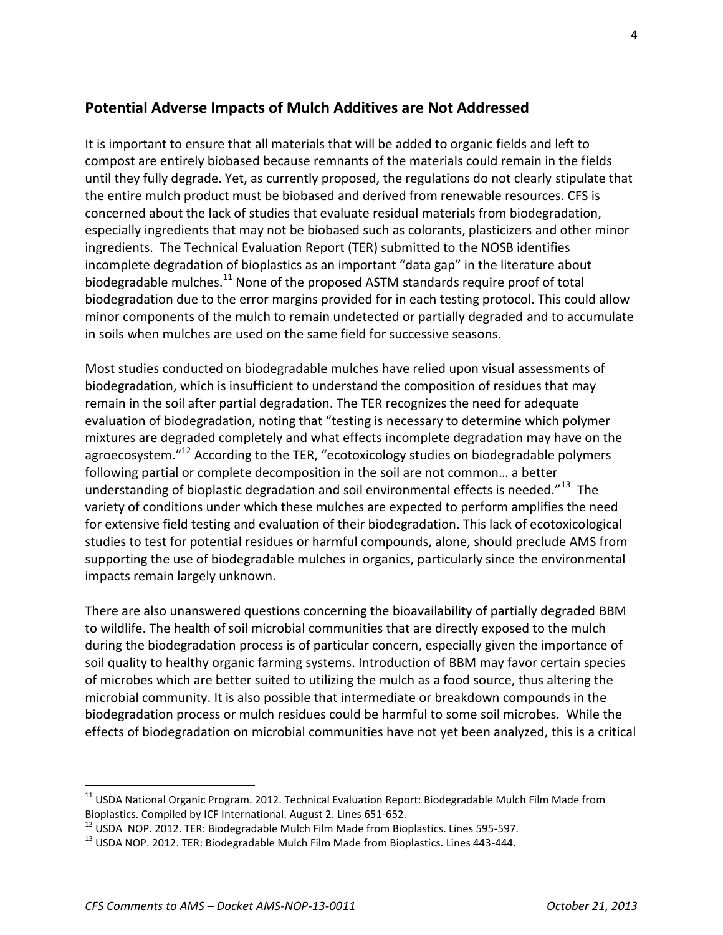#### **Potential Adverse Impacts of Mulch Additives are Not Addressed**

It is important to ensure that all materials that will be added to organic fields and left to compost are entirely biobased because remnants of the materials could remain in the fields until they fully degrade. Yet, as currently proposed, the regulations do not clearly stipulate that the entire mulch product must be biobased and derived from renewable resources. CFS is concerned about the lack of studies that evaluate residual materials from biodegradation, especially ingredients that may not be biobased such as colorants, plasticizers and other minor ingredients. The Technical Evaluation Report (TER) submitted to the NOSB identifies incomplete degradation of bioplastics as an important "data gap" in the literature about biodegradable mulches. $^{11}$  None of the proposed ASTM standards require proof of total biodegradation due to the error margins provided for in each testing protocol. This could allow minor components of the mulch to remain undetected or partially degraded and to accumulate in soils when mulches are used on the same field for successive seasons.

Most studies conducted on biodegradable mulches have relied upon visual assessments of biodegradation, which is insufficient to understand the composition of residues that may remain in the soil after partial degradation. The TER recognizes the need for adequate evaluation of biodegradation, noting that "testing is necessary to determine which polymer mixtures are degraded completely and what effects incomplete degradation may have on the agroecosystem."<sup>12</sup> According to the TER, "ecotoxicology studies on biodegradable polymers following partial or complete decomposition in the soil are not common… a better understanding of bioplastic degradation and soil environmental effects is needed." $^{13}$  The variety of conditions under which these mulches are expected to perform amplifies the need for extensive field testing and evaluation of their biodegradation. This lack of ecotoxicological studies to test for potential residues or harmful compounds, alone, should preclude AMS from supporting the use of biodegradable mulches in organics, particularly since the environmental impacts remain largely unknown.

There are also unanswered questions concerning the bioavailability of partially degraded BBM to wildlife. The health of soil microbial communities that are directly exposed to the mulch during the biodegradation process is of particular concern, especially given the importance of soil quality to healthy organic farming systems. Introduction of BBM may favor certain species of microbes which are better suited to utilizing the mulch as a food source, thus altering the microbial community. It is also possible that intermediate or breakdown compounds in the biodegradation process or mulch residues could be harmful to some soil microbes. While the effects of biodegradation on microbial communities have not yet been analyzed, this is a critical

<sup>&</sup>lt;sup>11</sup> USDA National Organic Program. 2012. Technical Evaluation Report: Biodegradable Mulch Film Made from Bioplastics. Compiled by ICF International. August 2. Lines 651-652.

 $12$  USDA NOP. 2012. TER: Biodegradable Mulch Film Made from Bioplastics. Lines 595-597.

 $13$  USDA NOP. 2012. TER: Biodegradable Mulch Film Made from Bioplastics. Lines 443-444.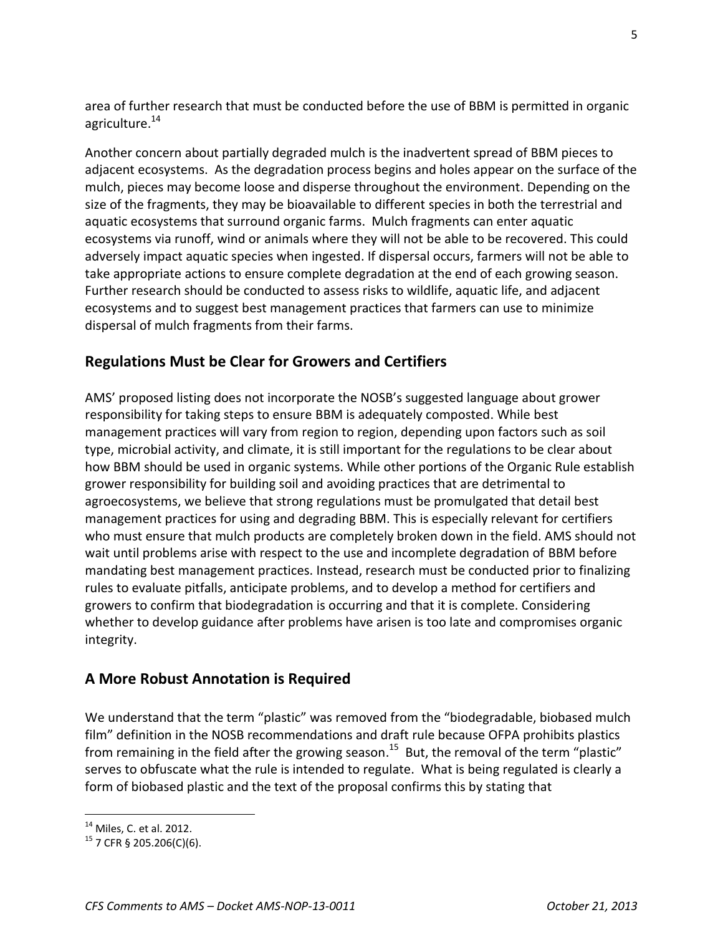area of further research that must be conducted before the use of BBM is permitted in organic agriculture.<sup>14</sup>

Another concern about partially degraded mulch is the inadvertent spread of BBM pieces to adjacent ecosystems. As the degradation process begins and holes appear on the surface of the mulch, pieces may become loose and disperse throughout the environment. Depending on the size of the fragments, they may be bioavailable to different species in both the terrestrial and aquatic ecosystems that surround organic farms. Mulch fragments can enter aquatic ecosystems via runoff, wind or animals where they will not be able to be recovered. This could adversely impact aquatic species when ingested. If dispersal occurs, farmers will not be able to take appropriate actions to ensure complete degradation at the end of each growing season. Further research should be conducted to assess risks to wildlife, aquatic life, and adjacent ecosystems and to suggest best management practices that farmers can use to minimize dispersal of mulch fragments from their farms.

## **Regulations Must be Clear for Growers and Certifiers**

AMS' proposed listing does not incorporate the NOSB's suggested language about grower responsibility for taking steps to ensure BBM is adequately composted. While best management practices will vary from region to region, depending upon factors such as soil type, microbial activity, and climate, it is still important for the regulations to be clear about how BBM should be used in organic systems. While other portions of the Organic Rule establish grower responsibility for building soil and avoiding practices that are detrimental to agroecosystems, we believe that strong regulations must be promulgated that detail best management practices for using and degrading BBM. This is especially relevant for certifiers who must ensure that mulch products are completely broken down in the field. AMS should not wait until problems arise with respect to the use and incomplete degradation of BBM before mandating best management practices. Instead, research must be conducted prior to finalizing rules to evaluate pitfalls, anticipate problems, and to develop a method for certifiers and growers to confirm that biodegradation is occurring and that it is complete. Considering whether to develop guidance after problems have arisen is too late and compromises organic integrity.

### **A More Robust Annotation is Required**

We understand that the term "plastic" was removed from the "biodegradable, biobased mulch film" definition in the NOSB recommendations and draft rule because OFPA prohibits plastics from remaining in the field after the growing season.<sup>15</sup> But, the removal of the term "plastic" serves to obfuscate what the rule is intended to regulate. What is being regulated is clearly a form of biobased plastic and the text of the proposal confirms this by stating that

 $14$  Miles, C. et al. 2012.

 $15$  7 CFR § 205.206(C)(6).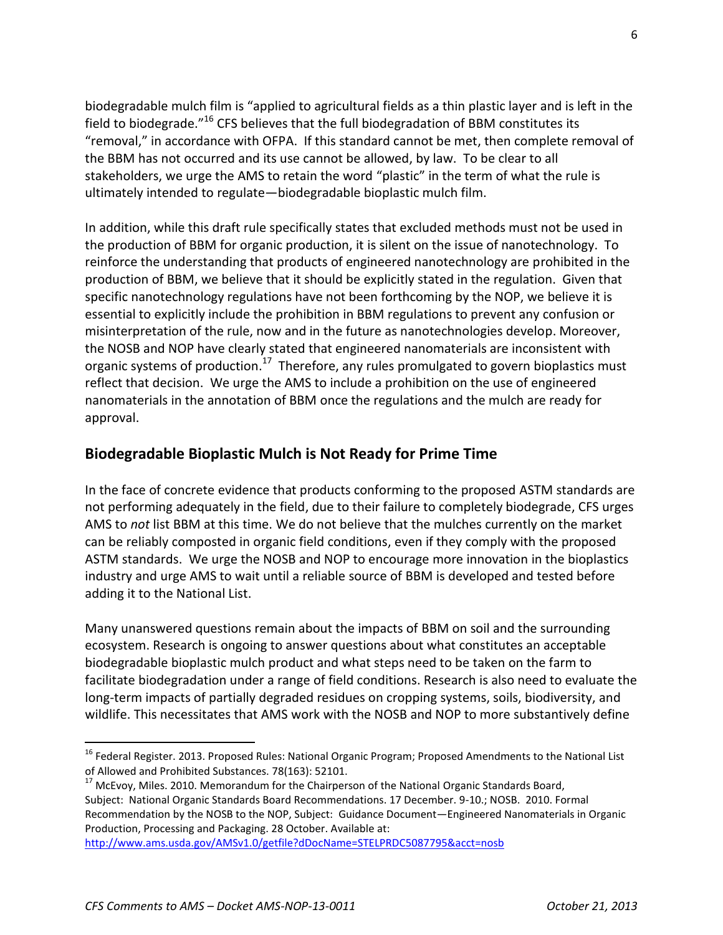biodegradable mulch film is "applied to agricultural fields as a thin plastic layer and is left in the field to biodegrade. $"^{16}$  CFS believes that the full biodegradation of BBM constitutes its "removal," in accordance with OFPA. If this standard cannot be met, then complete removal of the BBM has not occurred and its use cannot be allowed, by law. To be clear to all stakeholders, we urge the AMS to retain the word "plastic" in the term of what the rule is ultimately intended to regulate—biodegradable bioplastic mulch film.

In addition, while this draft rule specifically states that excluded methods must not be used in the production of BBM for organic production, it is silent on the issue of nanotechnology. To reinforce the understanding that products of engineered nanotechnology are prohibited in the production of BBM, we believe that it should be explicitly stated in the regulation. Given that specific nanotechnology regulations have not been forthcoming by the NOP, we believe it is essential to explicitly include the prohibition in BBM regulations to prevent any confusion or misinterpretation of the rule, now and in the future as nanotechnologies develop. Moreover, the NOSB and NOP have clearly stated that engineered nanomaterials are inconsistent with organic systems of production.<sup>17</sup> Therefore, any rules promulgated to govern bioplastics must reflect that decision. We urge the AMS to include a prohibition on the use of engineered nanomaterials in the annotation of BBM once the regulations and the mulch are ready for approval.

### **Biodegradable Bioplastic Mulch is Not Ready for Prime Time**

In the face of concrete evidence that products conforming to the proposed ASTM standards are not performing adequately in the field, due to their failure to completely biodegrade, CFS urges AMS to *not* list BBM at this time. We do not believe that the mulches currently on the market can be reliably composted in organic field conditions, even if they comply with the proposed ASTM standards. We urge the NOSB and NOP to encourage more innovation in the bioplastics industry and urge AMS to wait until a reliable source of BBM is developed and tested before adding it to the National List.

Many unanswered questions remain about the impacts of BBM on soil and the surrounding ecosystem. Research is ongoing to answer questions about what constitutes an acceptable biodegradable bioplastic mulch product and what steps need to be taken on the farm to facilitate biodegradation under a range of field conditions. Research is also need to evaluate the long-term impacts of partially degraded residues on cropping systems, soils, biodiversity, and wildlife. This necessitates that AMS work with the NOSB and NOP to more substantively define

<sup>&</sup>lt;sup>16</sup> Federal Register. 2013. Proposed Rules: National Organic Program; Proposed Amendments to the National List of Allowed and Prohibited Substances. 78(163): 52101.

<sup>&</sup>lt;sup>17</sup> McEvoy, Miles. 2010. Memorandum for the Chairperson of the National Organic Standards Board, Subject: National Organic Standards Board Recommendations. 17 December. 9-10.; NOSB. 2010. Formal Recommendation by the NOSB to the NOP, Subject: Guidance Document—Engineered Nanomaterials in Organic Production, Processing and Packaging. 28 October. Available at:

<http://www.ams.usda.gov/AMSv1.0/getfile?dDocName=STELPRDC5087795&acct=nosb>